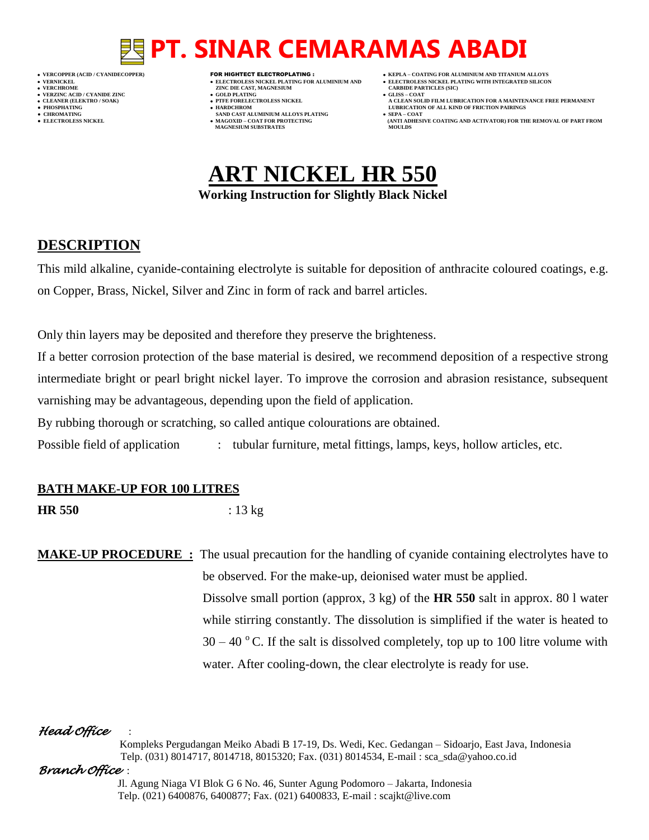- 
- 
- 

**VERFORM ZINC DIE CAST, MAGNESIUM CARBIDE PARTICLES (SIC)**<br> **CARBIDE PARTING** 

- **VERZINC ACID / CYANIDE ZINC GOLD PLATING GLISS – COAT**
	-
- **● CHROMATING SAND CAST ALUMINIUM ALLOYS PLATING SEPA – COAT • MAGOXID – COAT FOR PROTECTING<br>MAGNESIUM SUBSTRATES**
- **VERCOPPER (ACID / CYANIDECOPPER)** FOR HIGHTECT ELECTROPLATING :  **KEPLA – COATING FOR ALUMINIUM AND TITANIUM ALLOYS**
- **VERNICKEL ELECTROLESS NICKEL PLATING FOR ALUMINIUM AND ELECTROLESS NICKEL PLATING WITH INTEGRATED SILICON**
	-
- **A CLEAN SOLID FILM LUBRICATION FOR A MAINTENANCE FREE PERMANENT ● PHOSPHATING HARDCHROM LUBRICATION OF ALL KIND OF FRICTION PAIRINGS** 
	- **ELECTROLESS AND ACTIVATOR) FOR THE REMOVAL OF PART FROM (ANTI ADHESIVE COATING AND ACTIVATOR) FOR THE REMOVAL OF PART FROM <b>MOULDS**

## **ART NICKEL HR 550 Working Instruction for Slightly Black Nickel**

### **DESCRIPTION**

This mild alkaline, cyanide-containing electrolyte is suitable for deposition of anthracite coloured coatings, e.g. on Copper, Brass, Nickel, Silver and Zinc in form of rack and barrel articles.

Only thin layers may be deposited and therefore they preserve the brighteness.

If a better corrosion protection of the base material is desired, we recommend deposition of a respective strong intermediate bright or pearl bright nickel layer. To improve the corrosion and abrasion resistance, subsequent varnishing may be advantageous, depending upon the field of application.

By rubbing thorough or scratching, so called antique colourations are obtained.

Possible field of application : tubular furniture, metal fittings, lamps, keys, hollow articles, etc.

#### **BATH MAKE-UP FOR 100 LITRES**

**HR 550** : 13 kg

## **MAKE-UP PROCEDURE :** The usual precaution for the handling of cyanide containing electrolytes have to be observed. For the make-up, deionised water must be applied. Dissolve small portion (approx, 3 kg) of the **HR 550** salt in approx. 80 l water while stirring constantly. The dissolution is simplified if the water is heated to  $30 - 40$  °C. If the salt is dissolved completely, top up to 100 litre volume with water. After cooling-down, the clear electrolyte is ready for use.

### *Head Office* :

 Kompleks Pergudangan Meiko Abadi B 17-19, Ds. Wedi, Kec. Gedangan – Sidoarjo, East Java, Indonesia Telp. (031) 8014717, 8014718, 8015320; Fax. (031) 8014534, E-mail : sca\_sda@yahoo.co.id

#### *Branch Office* :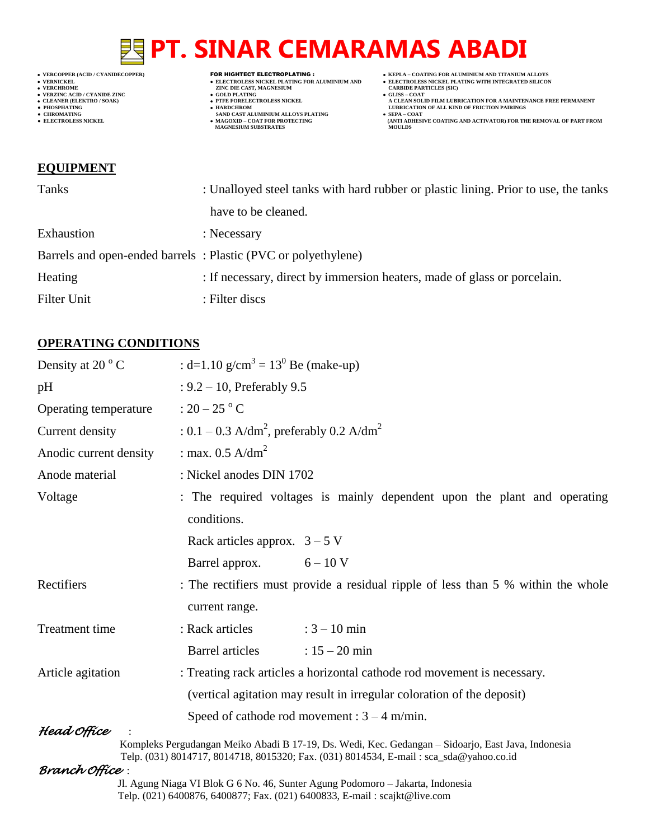- 
- 

- 
- 
- 

- **VERCHROME ZINC DIE CAST, MAGNESIUM CARBIDE PARTICLES (SIC)**
	- **v GOLD PLATING • PTFE FORELECTROLESS NICKEL**
	-
- **● CHROMATING SAND CAST ALUMINIUM ALLOYS PLATING SEPA – COAT MAGNESIUM SUBSTRATES MOULDS**
- **VERCOPPER (ACID / CYANIDECOPPER)** FOR HIGHTECT ELECTROPLATING :  **KEPLA – COATING FOR ALUMINIUM AND TITANIUM ALLOYS**
	-
	-
- ◆ VERCOFFER (ACID / CYANDECOFFER)<br>
◆ VERCOFFER (ACID / CYANDE ZINC<br>
→ VERZINC CARP → CARP CARPED FOR ALUMINIUM AND<br>
→ CARPED FARTICLES NICKEL PLATING FOR ALUMINIUM AND<br>
→ CHEATING WITH INTEGRATED SILICON<br>
→ CARPED FART **CLEANER (ELEKTRO / SOAK) PTFE FORELECTROLESS NICKEL A CLEAN SOLID FILM LUBRICATION FOR A MAINTENANCE FREE PERMANENT ● PHOSPHATING HARDCHROM LUBRICATION OF ALL KIND OF FRICTION PAIRINGS** 
	- **• SEPA COAT**<br> **•** SEPA COAT FOR COATING AND ACTIVATOR) FOR THE REMOVAL OF PART FROM MOULDS

#### **EQUIPMENT**

| Tanks       | : Unalloyed steel tanks with hard rubber or plastic lining. Prior to use, the tanks |  |  |  |
|-------------|-------------------------------------------------------------------------------------|--|--|--|
|             | have to be cleaned.                                                                 |  |  |  |
| Exhaustion  | : Necessary                                                                         |  |  |  |
|             | Barrels and open-ended barrels: Plastic (PVC or polyethylene)                       |  |  |  |
| Heating     | : If necessary, direct by immersion heaters, made of glass or porcelain.            |  |  |  |
| Filter Unit | : Filter discs                                                                      |  |  |  |

### **OPERATING CONDITIONS**

| Density at 20 $\degree$ C                                                                                                                                                                                                                                                                                                                                                                                                                                                                                                                           | : d=1.10 g/cm <sup>3</sup> = 13 <sup>0</sup> Be (make-up)                                           |  |  |  |
|-----------------------------------------------------------------------------------------------------------------------------------------------------------------------------------------------------------------------------------------------------------------------------------------------------------------------------------------------------------------------------------------------------------------------------------------------------------------------------------------------------------------------------------------------------|-----------------------------------------------------------------------------------------------------|--|--|--|
| pH                                                                                                                                                                                                                                                                                                                                                                                                                                                                                                                                                  | : $9.2 - 10$ , Preferably $9.5$                                                                     |  |  |  |
| Operating temperature                                                                                                                                                                                                                                                                                                                                                                                                                                                                                                                               | : $20-25$ °C                                                                                        |  |  |  |
| Current density                                                                                                                                                                                                                                                                                                                                                                                                                                                                                                                                     | : $0.1 - 0.3$ A/dm <sup>2</sup> , preferably 0.2 A/dm <sup>2</sup>                                  |  |  |  |
| Anodic current density                                                                                                                                                                                                                                                                                                                                                                                                                                                                                                                              | : max. $0.5$ A/dm <sup>2</sup>                                                                      |  |  |  |
| Anode material                                                                                                                                                                                                                                                                                                                                                                                                                                                                                                                                      | : Nickel anodes DIN 1702                                                                            |  |  |  |
| Voltage                                                                                                                                                                                                                                                                                                                                                                                                                                                                                                                                             | : The required voltages is mainly dependent upon the plant and operating<br>conditions.             |  |  |  |
|                                                                                                                                                                                                                                                                                                                                                                                                                                                                                                                                                     | Rack articles approx. $3 - 5$ V                                                                     |  |  |  |
|                                                                                                                                                                                                                                                                                                                                                                                                                                                                                                                                                     | $6 - 10$ V<br>Barrel approx.                                                                        |  |  |  |
| Rectifiers                                                                                                                                                                                                                                                                                                                                                                                                                                                                                                                                          | : The rectifiers must provide a residual ripple of less than 5 % within the whole<br>current range. |  |  |  |
| Treatment time                                                                                                                                                                                                                                                                                                                                                                                                                                                                                                                                      | $: 3 - 10$ min<br>: Rack articles                                                                   |  |  |  |
|                                                                                                                                                                                                                                                                                                                                                                                                                                                                                                                                                     | <b>Barrel articles</b><br>$: 15 - 20$ min                                                           |  |  |  |
| Article agitation                                                                                                                                                                                                                                                                                                                                                                                                                                                                                                                                   | : Treating rack articles a horizontal cathode rod movement is necessary.                            |  |  |  |
|                                                                                                                                                                                                                                                                                                                                                                                                                                                                                                                                                     | (vertical agitation may result in irregular coloration of the deposit)                              |  |  |  |
| Head Office                                                                                                                                                                                                                                                                                                                                                                                                                                                                                                                                         | Speed of cathode rod movement : $3 - 4$ m/min.                                                      |  |  |  |
| Kompleks Pergudangan Meiko Abadi B 17-19, Ds. Wedi, Kec. Gedangan - Sidoarjo, East Java, Indonesia<br>Telp. (031) 8014717, 8014718, 8015320; Fax. (031) 8014534, E-mail: sca_sda@yahoo.co.id<br>Branch Office :<br>$\mathbf{M}^{\prime}$ $\mathbf{M}$ $\mathbf{M}$ $\mathbf{M}$ $\mathbf{M}$ $\mathbf{M}$ $\mathbf{M}$ $\mathbf{M}$ $\mathbf{M}$ $\mathbf{M}$ $\mathbf{M}$ $\mathbf{M}$ $\mathbf{M}$ $\mathbf{M}$ $\mathbf{M}$ $\mathbf{M}$ $\mathbf{M}$ $\mathbf{M}$ $\mathbf{M}$ $\mathbf{M}$ $\mathbf{M}$ $\mathbf{M}$ $\mathbf{M}$ $\mathbf{M}$ |                                                                                                     |  |  |  |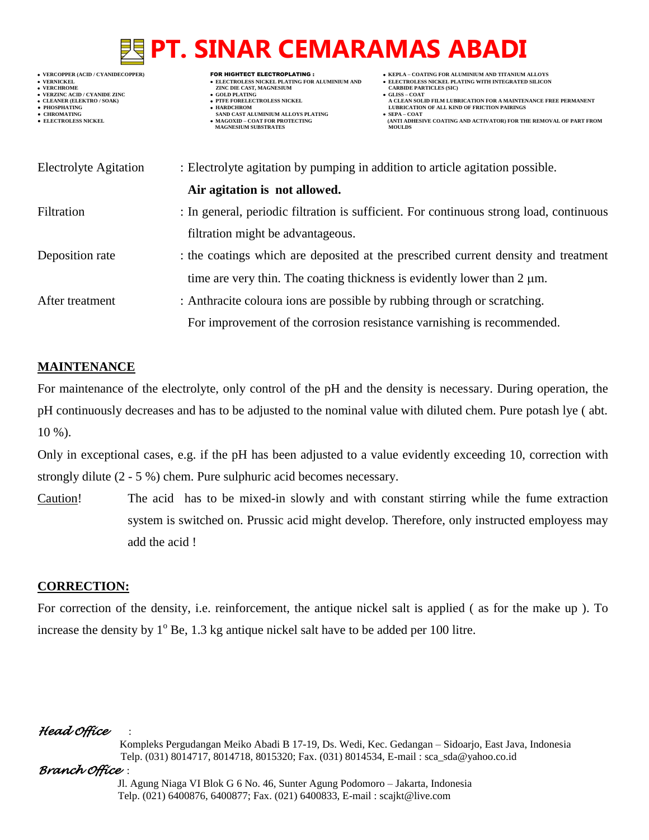# **PURISH PT. SINAR CEMARAMAS ABADI**

| • VERCOPPER (ACID / CYANIDECOPPER)<br>• VERNICKEL<br>• VERCHROME<br>• VERZINC ACID / CYANIDE ZINC<br>• CLEANER (ELEKTRO / SOAK)<br>• PHOSPHATING<br>• CHROMATING<br><b>• ELECTROLESS NICKEL</b> | FOR HIGHTECT ELECTROPLATING :<br>• ELECTROLESS NICKEL PLATING FOR ALUMINIUM AND<br>ZINC DIE CAST, MAGNESIUM<br>• GOLD PLATING<br><b>• PTFE FORELECTROLESS NICKEL</b><br>• HARDCHROM<br>SAND CAST ALUMINIUM ALLOYS PLATING<br>• MAGOXID - COAT FOR PROTECTING<br><b>MAGNESIUM SUBSTRATES</b> | • KEPLA – COATING FOR ALUMINIUM AND TITANIUM ALLOYS<br>• ELECTROLESS NICKEL PLATING WITH INTEGRATED SILICON<br><b>CARBIDE PARTICLES (SIC)</b><br>$\bullet$ GLISS – COAT<br>A CLEAN SOLID FILM LUBRICATION FOR A MAINTENANCE FREE PERMANENT<br><b>LUBRICATION OF ALL KIND OF FRICTION PAIRINGS</b><br>$\bullet$ SEPA – COAT<br>(ANTI ADHESIVE COATING AND ACTIVATOR) FOR THE REMOVAL OF PART FROM<br><b>MOULDS</b> |  |
|-------------------------------------------------------------------------------------------------------------------------------------------------------------------------------------------------|---------------------------------------------------------------------------------------------------------------------------------------------------------------------------------------------------------------------------------------------------------------------------------------------|-------------------------------------------------------------------------------------------------------------------------------------------------------------------------------------------------------------------------------------------------------------------------------------------------------------------------------------------------------------------------------------------------------------------|--|
| <b>Electrolyte Agitation</b>                                                                                                                                                                    | : Electrolyte agitation by pumping in addition to article agitation possible.                                                                                                                                                                                                               |                                                                                                                                                                                                                                                                                                                                                                                                                   |  |
|                                                                                                                                                                                                 | Air agitation is not allowed.                                                                                                                                                                                                                                                               |                                                                                                                                                                                                                                                                                                                                                                                                                   |  |
| Filtration                                                                                                                                                                                      | : In general, periodic filtration is sufficient. For continuous strong load, continuous                                                                                                                                                                                                     |                                                                                                                                                                                                                                                                                                                                                                                                                   |  |
|                                                                                                                                                                                                 | filtration might be advantageous.                                                                                                                                                                                                                                                           |                                                                                                                                                                                                                                                                                                                                                                                                                   |  |
| Deposition rate                                                                                                                                                                                 |                                                                                                                                                                                                                                                                                             | : the coatings which are deposited at the prescribed current density and treatment                                                                                                                                                                                                                                                                                                                                |  |
|                                                                                                                                                                                                 | time are very thin. The coating thickness is evidently lower than $2 \mu m$ .                                                                                                                                                                                                               |                                                                                                                                                                                                                                                                                                                                                                                                                   |  |
| After treatment                                                                                                                                                                                 | : Anthracite coloura ions are possible by rubbing through or scratching.                                                                                                                                                                                                                    |                                                                                                                                                                                                                                                                                                                                                                                                                   |  |
|                                                                                                                                                                                                 | For improvement of the corrosion resistance varnishing is recommended.                                                                                                                                                                                                                      |                                                                                                                                                                                                                                                                                                                                                                                                                   |  |

### **MAINTENANCE**

For maintenance of the electrolyte, only control of the pH and the density is necessary. During operation, the pH continuously decreases and has to be adjusted to the nominal value with diluted chem. Pure potash lye ( abt. 10 %).

Only in exceptional cases, e.g. if the pH has been adjusted to a value evidently exceeding 10, correction with strongly dilute (2 - 5 %) chem. Pure sulphuric acid becomes necessary.

Caution! The acid has to be mixed-in slowly and with constant stirring while the fume extraction system is switched on. Prussic acid might develop. Therefore, only instructed employess may add the acid !

### **CORRECTION:**

For correction of the density, i.e. reinforcement, the antique nickel salt is applied ( as for the make up ). To increase the density by  $1^{\circ}$  Be, 1.3 kg antique nickel salt have to be added per 100 litre.

### *Head Office* :

 Kompleks Pergudangan Meiko Abadi B 17-19, Ds. Wedi, Kec. Gedangan – Sidoarjo, East Java, Indonesia Telp. (031) 8014717, 8014718, 8015320; Fax. (031) 8014534, E-mail : sca\_sda@yahoo.co.id

### *Branch Office* :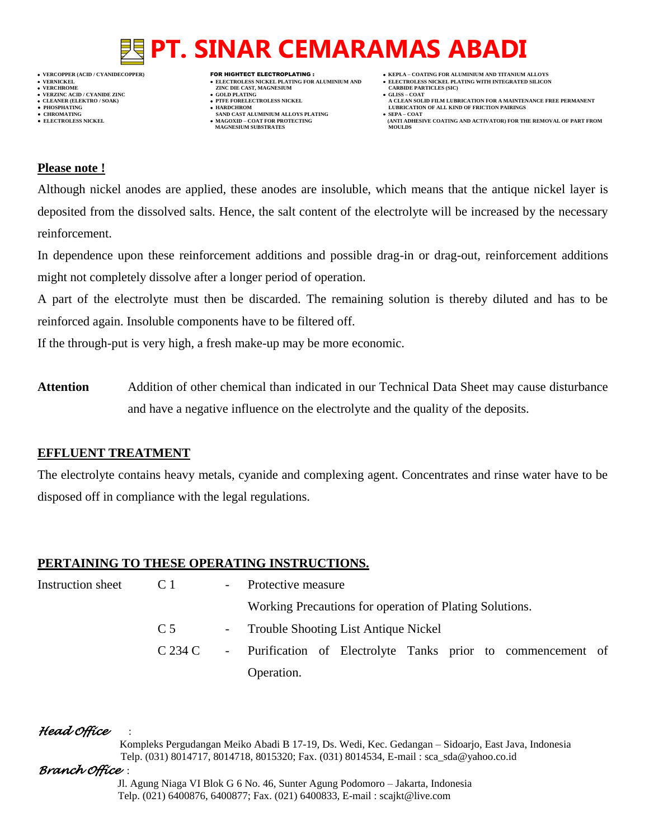

- **VERFORM ZINC DIE CAST, MAGNESIUM CARBIDE PARTICLES (SIC)**<br> **CARBIDE PARTING**
- 
- **PHOSPHATING HARDCHROM LUBRICATION OF ALL KIND OF FRICTION PAIRINGS ● CHROMATING SAND CAST ALUMINIUM ALLOYS PLATING SEPA – COAT MAGNESIUM SUBSTRATES**
- **VERCOPPER (ACID / CYANIDECOPPER)** FOR HIGHTECT ELECTROPLATING :  **KEPLA – COATING FOR ALUMINIUM AND TITANIUM ALLOYS**
	-
- **CLEANER (ELEKTRO / SOAK) PTFE FORELECTROLESS NICKEL A CLEAN SOLID FILM LUBRICATION FOR A MAINTENANCE FREE PERMANENT**
	- **ELECTROLESS AND ACTIVATOR) FOR THE REMOVAL OF PART FROM (ANTI ADHESIVE COATING AND ACTIVATOR) FOR THE REMOVAL OF PART FROM**

#### **Please note !**

Although nickel anodes are applied, these anodes are insoluble, which means that the antique nickel layer is deposited from the dissolved salts. Hence, the salt content of the electrolyte will be increased by the necessary reinforcement.

In dependence upon these reinforcement additions and possible drag-in or drag-out, reinforcement additions might not completely dissolve after a longer period of operation.

A part of the electrolyte must then be discarded. The remaining solution is thereby diluted and has to be reinforced again. Insoluble components have to be filtered off.

If the through-put is very high, a fresh make-up may be more economic.

**Attention** Addition of other chemical than indicated in our Technical Data Sheet may cause disturbance and have a negative influence on the electrolyte and the quality of the deposits.

#### **EFFLUENT TREATMENT**

The electrolyte contains heavy metals, cyanide and complexing agent. Concentrates and rinse water have to be disposed off in compliance with the legal regulations.

#### **PERTAINING TO THESE OPERATING INSTRUCTIONS.**

| Instruction sheet | C <sub>1</sub>                                          | $\sim$ | Protective measure                                           |  |  |
|-------------------|---------------------------------------------------------|--------|--------------------------------------------------------------|--|--|
|                   | Working Precautions for operation of Plating Solutions. |        |                                                              |  |  |
|                   | C <sub>5</sub>                                          |        | - Trouble Shooting List Antique Nickel                       |  |  |
|                   | C 234 C                                                 |        | - Purification of Electrolyte Tanks prior to commencement of |  |  |
|                   |                                                         |        | Operation.                                                   |  |  |

*Head Office* :

 Kompleks Pergudangan Meiko Abadi B 17-19, Ds. Wedi, Kec. Gedangan – Sidoarjo, East Java, Indonesia Telp. (031) 8014717, 8014718, 8015320; Fax. (031) 8014534, E-mail : sca\_sda@yahoo.co.id

#### *Branch Office* :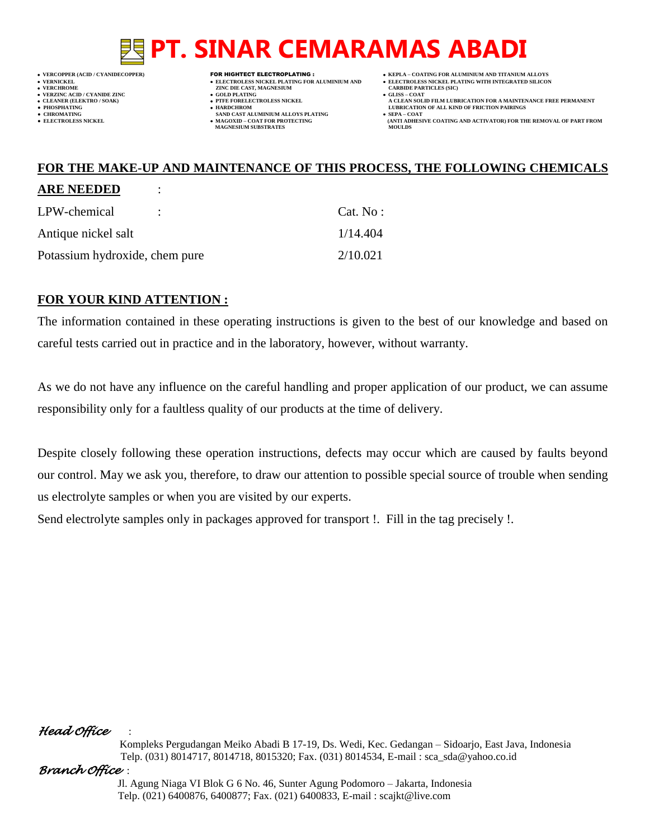- **VERFORM ZINC DIE CAST, MAGNESIUM CARBIDE PARTICLES (SIC)**<br> **CARBIDE PARTING VERZINC ACID / CYANIDE ZINC GOLD PLATING GLISS – COAT**
	-
- **● CHROMATING SAND CAST ALUMINIUM ALLOYS PLATING SEPA – COAT MAGNESIUM SUBSTRATES**
- **VERCOPPER (ACID / CYANIDECOPPER)** FOR HIGHTECT ELECTROPLATING :  **KEPLA – COATING FOR ALUMINIUM AND TITANIUM ALLOYS**
- **VERNICKEL ELECTROLESS NICKEL PLATING FOR ALUMINIUM AND ELECTROLESS NICKEL PLATING WITH INTEGRATED SILICON**
	-
- **CLEANER (ELEKTRO / SOAK) PTFE FORELECTROLESS NICKEL A CLEAN SOLID FILM LUBRICATION FOR A MAINTENANCE FREE PERMANENT ● PHOSPHATING HARDCHROM LUBRICATION OF ALL KIND OF FRICTION PAIRINGS** 
	- **ELECTROLESS AND ACTIVATOR) FOR THE REMOVAL OF PART FROM (ANTI ADHESIVE COATING AND ACTIVATOR) FOR THE REMOVAL OF PART FROM <b>MOULDS**

## **FOR THE MAKE-UP AND MAINTENANCE OF THIS PROCESS, THE FOLLOWING CHEMICALS**

#### **ARE NEEDED** :

| LPW-chemical                   |  | Cat. No: |
|--------------------------------|--|----------|
| Antique nickel salt            |  | 1/14.404 |
| Potassium hydroxide, chem pure |  | 2/10.021 |

### **FOR YOUR KIND ATTENTION :**

The information contained in these operating instructions is given to the best of our knowledge and based on careful tests carried out in practice and in the laboratory, however, without warranty.

As we do not have any influence on the careful handling and proper application of our product, we can assume responsibility only for a faultless quality of our products at the time of delivery.

Despite closely following these operation instructions, defects may occur which are caused by faults beyond our control. May we ask you, therefore, to draw our attention to possible special source of trouble when sending us electrolyte samples or when you are visited by our experts.

Send electrolyte samples only in packages approved for transport !. Fill in the tag precisely !.

### *Head Office* :

 Kompleks Pergudangan Meiko Abadi B 17-19, Ds. Wedi, Kec. Gedangan – Sidoarjo, East Java, Indonesia Telp. (031) 8014717, 8014718, 8015320; Fax. (031) 8014534, E-mail : sca\_sda@yahoo.co.id

#### *Branch Office* :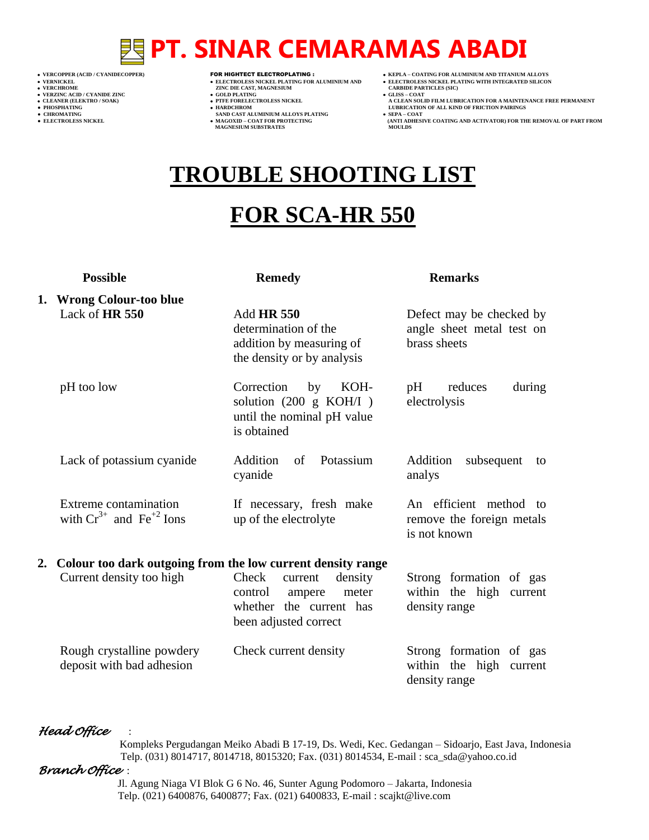- 
- 
- 

- 
- 
- 

- **VERCHROME (ACID/CTANIDE ZINC )<br>
 VERCHROME 2INC DIE CAST, MAGNESIUM (CARBIDE PARTICLES (SICKEL PLATING FOR ALUMINIUM AND )<br>
 VERCHROME 2INC DIE CAST, MAGNESIUM (CARBIDE PARTICLES )<br>
 CLEANER (ELEKTRO / SOAK) (CLEANER (** 
	- **v GOLD PLATING**<br>**• PTFE FORELECTROLESS NICKEL**
	-
- **PHOSPHATING HARDCHROM LUBRICATION OF ALL KIND OF FRICTION PAIRINGS ● CHROMATING SAND CAST ALUMINIUM ALLOYS PLATING SEPA – COAT MAGNESIUM SUBSTRATES MOULDS**
- **VERCOPPER (ACID / CYANIDECOPPER)** FOR HIGHTECT ELECTROPLATING :  **KEPLA – COATING FOR ALUMINIUM AND TITANIUM ALLOYS**
- **VERNICKEL ELECTROLESS NICKEL PLATING FOR ALUMINIUM AND ELECTROLESS NICKEL PLATING WITH INTEGRATED SILICON**
	-
	- **A CLEAN SOLID FILM LUBRICATION FOR A MAINTENANCE FREE PERMANENT**
- **● ELECTROLESS NICKEL MAGOXID – COAT FOR PROTECTING (ANTI ADHESIVE COATING AND ACTIVATOR) FOR THE REMOVAL OF PART FROM**

## **TROUBLE SHOOTING LIST**

## **FOR SCA-HR 550**

|    | <b>Possible</b>                                             | <b>Remedy</b>                                                                                                 | <b>Remarks</b>                                                         |
|----|-------------------------------------------------------------|---------------------------------------------------------------------------------------------------------------|------------------------------------------------------------------------|
|    | 1. Wrong Colour-too blue<br>Lack of HR 550                  | <b>Add HR 550</b><br>determination of the<br>addition by measuring of<br>the density or by analysis           | Defect may be checked by<br>angle sheet metal test on<br>brass sheets  |
|    | pH too low                                                  | Correction<br>KOH-<br>by<br>solution $(200 \text{ g KOH}/I)$<br>until the nominal pH value<br>is obtained     | reduces<br>pH<br>during<br>electrolysis                                |
|    | Lack of potassium cyanide                                   | of Potassium<br>Addition<br>cyanide                                                                           | Addition<br>subsequent<br>to<br>analys                                 |
|    | Extreme contamination<br>with $Cr^{3+}$ and $Fe^{+2}$ Ions  | If necessary, fresh make<br>up of the electrolyte                                                             | An efficient method<br>to<br>remove the foreign metals<br>is not known |
| 2. | Colour too dark outgoing from the low current density range |                                                                                                               |                                                                        |
|    | Current density too high                                    | Check<br>density<br>current<br>control<br>ampere<br>meter<br>whether the current has<br>been adjusted correct | Strong formation of gas<br>within the high current<br>density range    |
|    | Rough crystalline powdery<br>deposit with bad adhesion      | Check current density                                                                                         | Strong formation of gas<br>within the high current<br>density range    |

#### *Head Office* :

 Kompleks Pergudangan Meiko Abadi B 17-19, Ds. Wedi, Kec. Gedangan – Sidoarjo, East Java, Indonesia Telp. (031) 8014717, 8014718, 8015320; Fax. (031) 8014534, E-mail : sca\_sda@yahoo.co.id

#### *Branch Office* :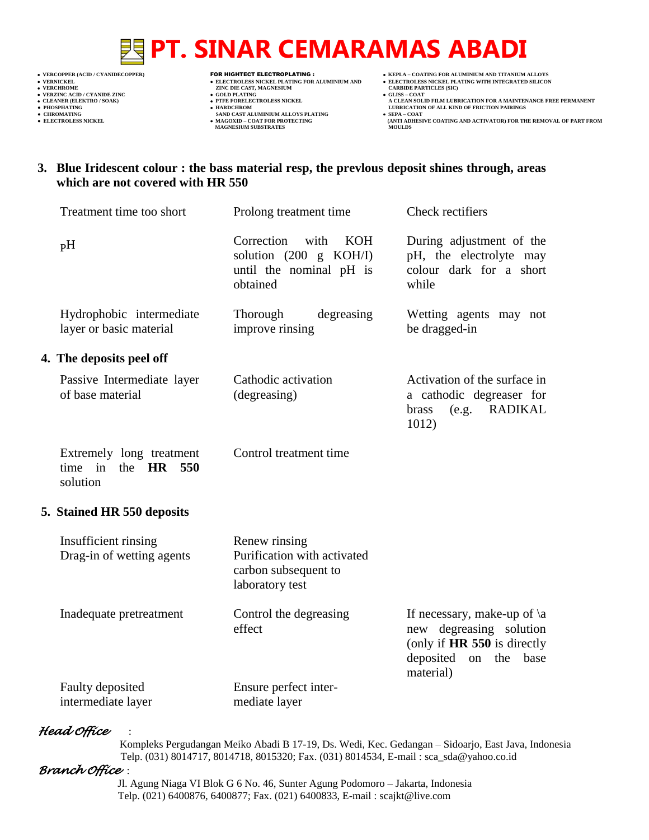- 
- 
- 

- 
- 
- 

- **VERCHROLES NICKEL PLATING FOR ALUMINIUM AND**<br> **VELECTROLES NICKEL PLATING FOR ALUMINIUM AND**<br> **VERCHROLES (SILD)**<br> **CARBIDE PARTING**<br> **CARBIDE PARTING**
- **v GOLD PLATING**<br>**• PTFE FORELECTROLESS NICKEL**
- 
- **● CHROMATING SAND CAST ALUMINIUM ALLOYS PLATING SEPA – COAT MAGNESIUM SUBSTRATES MOULDS**
- **VERCOPPER (ACID / CYANIDECOPPER)** FOR HIGHTECT ELECTROPLATING :  **KEPLA – COATING FOR ALUMINIUM AND TITANIUM ALLOYS**
- ELECTROLESS NICKEL PLATING FOR ALUMINIUM AND<br>
 VERNICKEL PLATING FOR ALUMINIUM AND<br>
 VERCHROME PLATING WITH INTEGRATED SILICON<br>
 VERZINC ACID PLATING WITH INTEGRATED SILICON<br>
 CLEAN SOLID FILM LUBRICATION FOR A MAINTEN
	-
- **CLEANER (ELEKTRO / SOAK) PTFE FORELECTROLESS NICKEL A CLEAN SOLID FILM LUBRICATION FOR A MAINTENANCE FREE PERMANENT ● PHOSPHATING HARDCHROM LUBRICATION OF ALL KIND OF FRICTION PAIRINGS**
- **● ELECTROLESS NICKEL MAGOXID – COAT FOR PROTECTING (ANTI ADHESIVE COATING AND ACTIVATOR) FOR THE REMOVAL OF PART FROM**

### **3. Blue Iridescent colour : the bass material resp, the prevlous deposit shines through, areas which are not covered with HR 550**

| Treatment time too short                                        | Prolong treatment time                                                                                       | Check rectifiers                                                                                                                    |
|-----------------------------------------------------------------|--------------------------------------------------------------------------------------------------------------|-------------------------------------------------------------------------------------------------------------------------------------|
| pH                                                              | Correction<br>with<br><b>KOH</b><br>solution $(200 \text{ g } KOH/I)$<br>until the nominal pH is<br>obtained | During adjustment of the<br>pH, the electrolyte may<br>colour dark for a short<br>while                                             |
| Hydrophobic intermediate<br>layer or basic material             | Thorough<br>degreasing<br>improve rinsing                                                                    | Wetting agents may not<br>be dragged-in                                                                                             |
| 4. The deposits peel off                                        |                                                                                                              |                                                                                                                                     |
| Passive Intermediate layer<br>of base material                  | Cathodic activation<br>(degreasing)                                                                          | Activation of the surface in<br>a cathodic degreaser for<br><b>RADIKAL</b><br>brass<br>(e.g.<br>1012)                               |
| Extremely long treatment<br>time in<br>the $HR$ 550<br>solution | Control treatment time                                                                                       |                                                                                                                                     |
| 5. Stained HR 550 deposits                                      |                                                                                                              |                                                                                                                                     |
| Insufficient rinsing<br>Drag-in of wetting agents               | Renew rinsing<br>Purification with activated<br>carbon subsequent to<br>laboratory test                      |                                                                                                                                     |
| Inadequate pretreatment                                         | Control the degreasing<br>effect                                                                             | If necessary, make-up of $\a$<br>new degreasing solution<br>(only if HR 550 is directly<br>deposited<br>on the<br>base<br>material) |
| Faulty deposited<br>intermediate layer                          | Ensure perfect inter-<br>mediate layer                                                                       |                                                                                                                                     |

### *Head Office* :

 Kompleks Pergudangan Meiko Abadi B 17-19, Ds. Wedi, Kec. Gedangan – Sidoarjo, East Java, Indonesia Telp. (031) 8014717, 8014718, 8015320; Fax. (031) 8014534, E-mail : sca\_sda@yahoo.co.id

#### *Branch Office* :